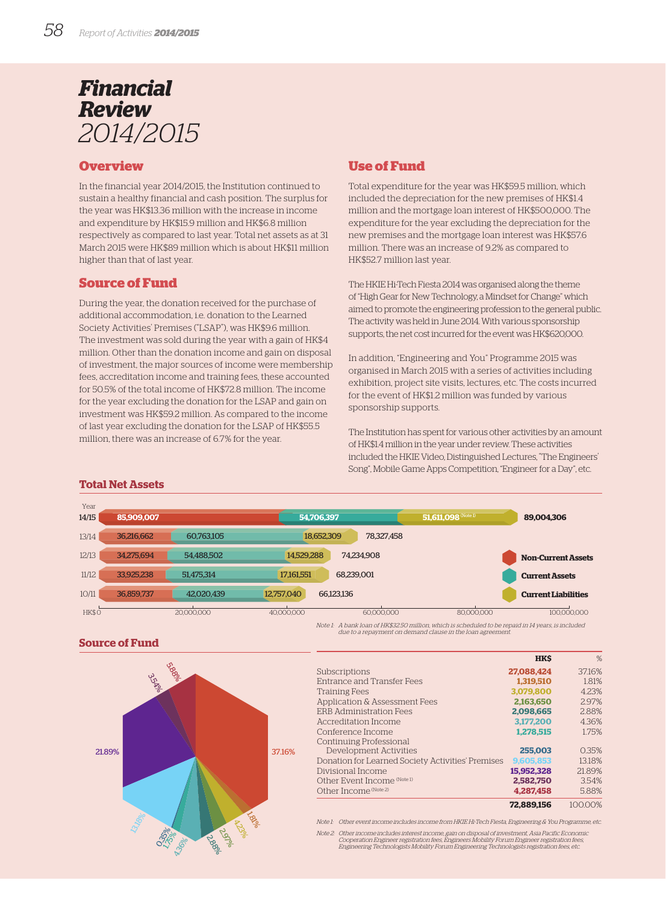# *Financial Review 2014/2015*

## **Overview**

In the financial year 2014/2015, the Institution continued to sustain a healthy financial and cash position. The surplus for the year was HK\$13.36 million with the increase in income and expenditure by HK\$15.9 million and HK\$6.8 million respectively as compared to last year. Total net assets as at 31 March 2015 were HK\$89 million which is about HK\$11 million higher than that of last year.

## **Source of Fund**

During the year, the donation received for the purchase of additional accommodation, i.e. donation to the Learned Society Activities' Premises ("LSAP"), was HK\$9.6 million. The investment was sold during the year with a gain of HK\$4 million. Other than the donation income and gain on disposal of investment, the major sources of income were membership fees, accreditation income and training fees, these accounted for 50.5% of the total income of HK\$72.8 million. The income for the year excluding the donation for the LSAP and gain on investment was HK\$59.2 million. As compared to the income of last year excluding the donation for the LSAP of HK\$55.5 million, there was an increase of 6.7% for the year.

# **Use of Fund**

Total expenditure for the year was HK\$59.5 million, which included the depreciation for the new premises of HK\$1.4 million and the mortgage loan interest of HK\$500,000. The expenditure for the year excluding the depreciation for the new premises and the mortgage loan interest was HK\$57.6 million. There was an increase of 9.2% as compared to HK\$52.7 million last year.

The HKIE Hi-Tech Fiesta 2014 was organised along the theme of "High Gear for New Technology, a Mindset for Change" which aimed to promote the engineering profession to the general public. The activity was held in June 2014. With various sponsorship supports, the net cost incurred for the event was HK\$620,000.

In addition, "Engineering and You" Programme 2015 was organised in March 2015 with a series of activities including exhibition, project site visits, lectures, etc. The costs incurred for the event of HK\$1.2 million was funded by various sponsorship supports.

The Institution has spent for various other activities by an amount of HK\$1.4 million in the year under review. These activities included the HKIE Video, Distinguished Lectures, "The Engineers' Song", Mobile Game Apps Competition, "Engineer for a Day", etc.

### **Total Net Assets**

| Year  |            |            |            |            |                       |                            |  |
|-------|------------|------------|------------|------------|-----------------------|----------------------------|--|
| 14/15 | 85,909,007 |            | 54.706.397 |            | $51,611,098$ (Note 1) | 89,004,306                 |  |
| 13/14 | 36,216,662 | 60,763,105 | 18,652,309 | 78,327,458 |                       |                            |  |
| 12/13 | 34.275.694 | 54,488,502 | 14.529.288 | 74.234.908 |                       | <b>Non-Current Assets</b>  |  |
| 11/12 | 33.925.238 | 51.475.314 | 17,161,551 | 68.239.001 |                       | <b>Current Assets</b>      |  |
| 10/11 | 36,859,737 | 42,020,439 | 12,757,040 | 66,123,136 |                       | <b>Current Liabilities</b> |  |
| HK\$O |            | 20,000,000 | 40.000.000 | 60,000,000 | 80.000.000            | 100.000.000                |  |

Note 1: A bank loan of HK\$32.50 million, which is scheduled to be repaid in 14 years, is included due to a repayment on demand clause in the loan agreement.

**Source of Fund**



|                                                   | <b>HKS</b> | %       |
|---------------------------------------------------|------------|---------|
| Subscriptions                                     | 27.088.424 | 37.16%  |
| Entrance and Transfer Fees                        | 1.319.510  | 1.81%   |
| <b>Training Fees</b>                              | 3.079.800  | 4.23%   |
| Application & Assessment Fees                     | 2.163,650  | 2.97%   |
| <b>ERB Administration Fees</b>                    | 2.098.665  | 2.88%   |
| Accreditation Income                              | 3.177.200  | 4.36%   |
| Conference Income                                 | 1.278.515  | 1.75%   |
| Continuing Professional                           |            |         |
| Development Activities                            | 255,003    | 0.35%   |
| Donation for Learned Society Activities' Premises | 9,605,853  | 13.18%  |
| Divisional Income                                 | 15.952.328 | 21.89%  |
| Other Event Income (Note 1)                       | 2.582.750  | 3.54%   |
| Other Income (Note 2)                             | 4.287.458  | 5.88%   |
|                                                   | 72.889.156 | 100.00% |

Note 1: Other event income includes income from HKIE Hi-Tech Fiesta, Engineering & You Programme, etc.

Note 2: Other income includes interest income, gain on disposal of investment, Asia Pacific Economic<br>Cooperation Engistration fees, Engineers Mobility Forum Engineer registration fees,<br>Engineering Technologists Mobility